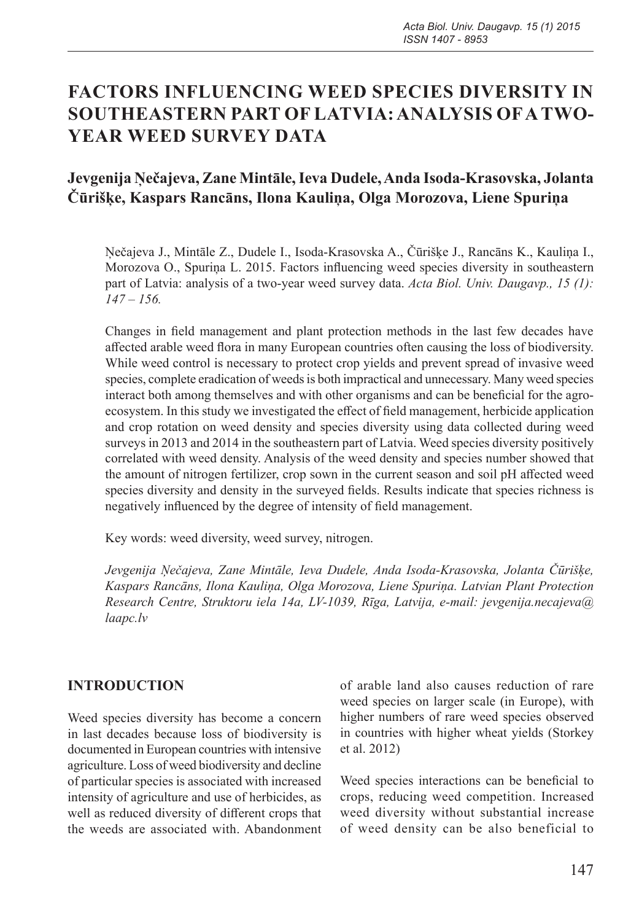# **FACTORS INFLUENCING WEED SPECIES DIVERSITY IN SOUTHEASTERN PART OF LATVIA: ANALYSIS OF A TWO-YEAR WEED SURVEY DATA**

# **Jevgenija Ņečajeva, Zane Mintāle, Ieva Dudele, Anda Isoda-Krasovska, Jolanta Čūrišķe, Kaspars Rancāns, Ilona Kauliņa, Olga Morozova, Liene Spuriņa**

Ņečajeva J., Mintāle Z., Dudele I., Isoda-Krasovska A., Čūrišķe J., Rancāns K., Kauliņa I., Morozova O., Spuriņa L. 2015. Factors influencing weed species diversity in southeastern part of Latvia: analysis of a two-year weed survey data. *Acta Biol. Univ. Daugavp., 15 (1): 147 – 156.*

Changes in field management and plant protection methods in the last few decades have affected arable weed flora in many European countries often causing the loss of biodiversity. While weed control is necessary to protect crop yields and prevent spread of invasive weed species, complete eradication of weeds is both impractical and unnecessary. Many weed species interact both among themselves and with other organisms and can be beneficial for the agroecosystem. In this study we investigated the effect of field management, herbicide application and crop rotation on weed density and species diversity using data collected during weed surveys in 2013 and 2014 in the southeastern part of Latvia. Weed species diversity positively correlated with weed density. Analysis of the weed density and species number showed that the amount of nitrogen fertilizer, crop sown in the current season and soil pH affected weed species diversity and density in the surveyed fields. Results indicate that species richness is negatively influenced by the degree of intensity of field management.

Key words: weed diversity, weed survey, nitrogen.

*Jevgenija Ņečajeva, Zane Mintāle, Ieva Dudele, Anda Isoda-Krasovska, Jolanta Čūrišķe, Kaspars Rancāns, Ilona Kauliņa, Olga Morozova, Liene Spuriņa. Latvian Plant Protection Research Centre, Struktoru iela 14a, LV-1039, Rīga, Latvija, e-mail: jevgenija.necajeva@ laapc.lv*

# **INTRODUCTION**

Weed species diversity has become a concern in last decades because loss of biodiversity is documented in European countries with intensive agriculture. Loss of weed biodiversity and decline of particular species is associated with increased intensity of agriculture and use of herbicides, as well as reduced diversity of different crops that the weeds are associated with. Abandonment of arable land also causes reduction of rare weed species on larger scale (in Europe), with higher numbers of rare weed species observed in countries with higher wheat yields (Storkey et al. 2012)

Weed species interactions can be beneficial to crops, reducing weed competition. Increased weed diversity without substantial increase of weed density can be also beneficial to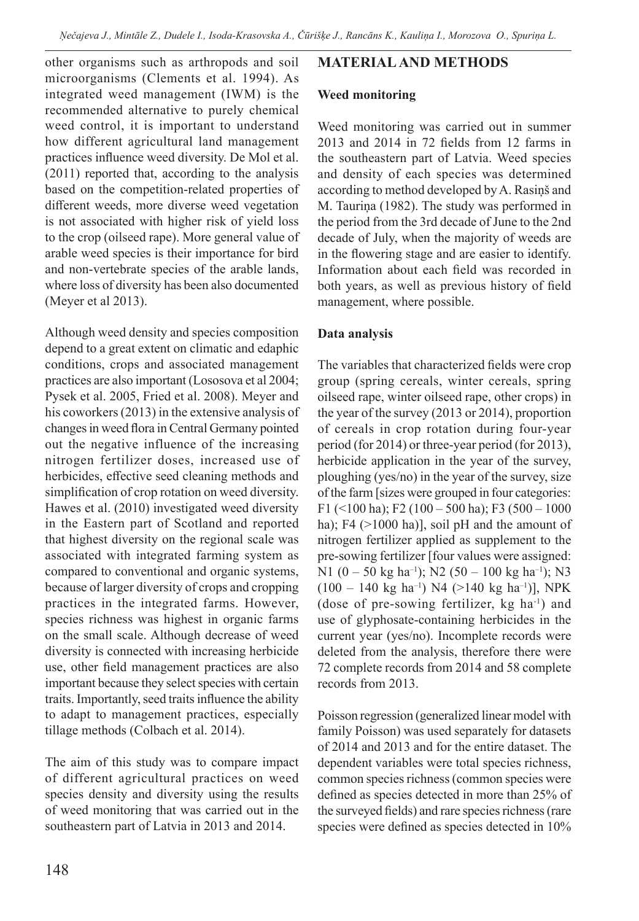other organisms such as arthropods and soil microorganisms (Clements et al. 1994). As integrated weed management (IWM) is the recommended alternative to purely chemical weed control, it is important to understand how different agricultural land management practices influence weed diversity. De Mol et al. (2011) reported that, according to the analysis based on the competition-related properties of different weeds, more diverse weed vegetation is not associated with higher risk of yield loss to the crop (oilseed rape). More general value of arable weed species is their importance for bird and non-vertebrate species of the arable lands, where loss of diversity has been also documented (Meyer et al 2013).

Although weed density and species composition depend to a great extent on climatic and edaphic conditions, crops and associated management practices are also important (Lososova et al 2004; Pysek et al. 2005, Fried et al. 2008). Meyer and his coworkers (2013) in the extensive analysis of changes in weed flora in Central Germany pointed out the negative influence of the increasing nitrogen fertilizer doses, increased use of herbicides, effective seed cleaning methods and simplification of crop rotation on weed diversity. Hawes et al. (2010) investigated weed diversity in the Eastern part of Scotland and reported that highest diversity on the regional scale was associated with integrated farming system as compared to conventional and organic systems, because of larger diversity of crops and cropping practices in the integrated farms. However, species richness was highest in organic farms on the small scale. Although decrease of weed diversity is connected with increasing herbicide use, other field management practices are also important because they select species with certain traits. Importantly, seed traits influence the ability to adapt to management practices, especially tillage methods (Colbach et al. 2014).

The aim of this study was to compare impact of different agricultural practices on weed species density and diversity using the results of weed monitoring that was carried out in the southeastern part of Latvia in 2013 and 2014.

## **MATERIAL AND METHODS**

#### **Weed monitoring**

Weed monitoring was carried out in summer 2013 and 2014 in 72 fields from 12 farms in the southeastern part of Latvia. Weed species and density of each species was determined according to method developed by A. Rasiņš and M. Tauriņa (1982). The study was performed in the period from the 3rd decade of June to the 2nd decade of July, when the majority of weeds are in the flowering stage and are easier to identify. Information about each field was recorded in both years, as well as previous history of field management, where possible.

#### **Data analysis**

The variables that characterized fields were crop group (spring cereals, winter cereals, spring oilseed rape, winter oilseed rape, other crops) in the year of the survey (2013 or 2014), proportion of cereals in crop rotation during four-year period (for 2014) or three-year period (for 2013), herbicide application in the year of the survey, ploughing (yes/no) in the year of the survey, size of the farm [sizes were grouped in four categories: F1 (<100 ha); F2 (100 – 500 ha); F3 (500 – 1000 ha); F4 (>1000 ha)], soil pH and the amount of nitrogen fertilizer applied as supplement to the pre-sowing fertilizer [four values were assigned: N1 (0 – 50 kg ha<sup>-1</sup>); N2 (50 – 100 kg ha<sup>-1</sup>); N3  $(100 - 140 \text{ kg ha}^{-1})$  N4  $(>140 \text{ kg ha}^{-1})$ ], NPK (dose of pre-sowing fertilizer, kg ha-1) and use of glyphosate-containing herbicides in the current year (yes/no). Incomplete records were deleted from the analysis, therefore there were 72 complete records from 2014 and 58 complete records from 2013.

Poisson regression (generalized linear model with family Poisson) was used separately for datasets of 2014 and 2013 and for the entire dataset. The dependent variables were total species richness, common species richness (common species were defined as species detected in more than 25% of the surveyed fields) and rare species richness (rare species were defined as species detected in 10%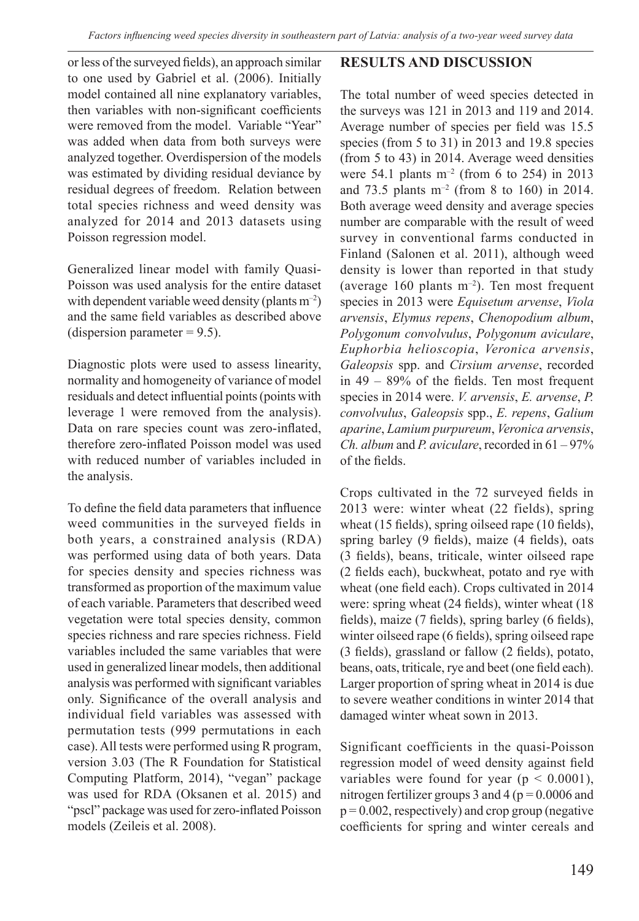or less of the surveyed fields), an approach similar to one used by Gabriel et al. (2006). Initially model contained all nine explanatory variables, then variables with non-significant coefficients were removed from the model. Variable "Year" was added when data from both surveys were analyzed together. Overdispersion of the models was estimated by dividing residual deviance by residual degrees of freedom. Relation between total species richness and weed density was analyzed for 2014 and 2013 datasets using Poisson regression model.

Generalized linear model with family Quasi-Poisson was used analysis for the entire dataset with dependent variable weed density (plants  $m^{-2}$ ) and the same field variables as described above (dispersion parameter  $= 9.5$ ).

Diagnostic plots were used to assess linearity, normality and homogeneity of variance of model residuals and detect influential points (points with leverage 1 were removed from the analysis). Data on rare species count was zero-inflated, therefore zero-inflated Poisson model was used with reduced number of variables included in the analysis.

To define the field data parameters that influence weed communities in the surveyed fields in both years, a constrained analysis (RDA) was performed using data of both years. Data for species density and species richness was transformed as proportion of the maximum value of each variable. Parameters that described weed vegetation were total species density, common species richness and rare species richness. Field variables included the same variables that were used in generalized linear models, then additional analysis was performed with significant variables only. Significance of the overall analysis and individual field variables was assessed with permutation tests (999 permutations in each case). All tests were performed using R program, version 3.03 (The R Foundation for Statistical Computing Platform, 2014), "vegan" package was used for RDA (Oksanen et al. 2015) and "pscl" package was used for zero-inflated Poisson models (Zeileis et al. 2008).

## **RESULTS AND DISCUSSION**

The total number of weed species detected in the surveys was 121 in 2013 and 119 and 2014. Average number of species per field was 15.5 species (from 5 to 31) in 2013 and 19.8 species (from 5 to 43) in 2014. Average weed densities were 54.1 plants  $m^{-2}$  (from 6 to 254) in 2013 and 73.5 plants  $m^{-2}$  (from 8 to 160) in 2014. Both average weed density and average species number are comparable with the result of weed survey in conventional farms conducted in Finland (Salonen et al. 2011), although weed density is lower than reported in that study (average  $160$  plants m<sup>-2</sup>). Ten most frequent species in 2013 were *Equisetum arvense*, *Viola arvensis*, *Elymus repens*, *Chenopodium album*, *Polygonum convolvulus*, *Polygonum aviculare*, *Euphorbia helioscopia*, *Veronica arvensis*, *Galeopsis* spp. and *Cirsium arvense*, recorded in 49 – 89% of the fields. Ten most frequent species in 2014 were. *V. arvensis*, *E. arvense*, *P. convolvulus*, *Galeopsis* spp., *E. repens*, *Galium aparine*, *Lamium purpureum*, *Veronica arvensis*, *Ch. album* and *P. aviculare*, recorded in 61 – 97% of the fields.

Crops cultivated in the 72 surveyed fields in 2013 were: winter wheat (22 fields), spring wheat (15 fields), spring oilseed rape (10 fields), spring barley (9 fields), maize (4 fields), oats (3 fields), beans, triticale, winter oilseed rape (2 fields each), buckwheat, potato and rye with wheat (one field each). Crops cultivated in 2014 were: spring wheat (24 fields), winter wheat (18 fields), maize (7 fields), spring barley (6 fields), winter oilseed rape (6 fields), spring oilseed rape (3 fields), grassland or fallow (2 fields), potato, beans, oats, triticale, rye and beet (one field each). Larger proportion of spring wheat in 2014 is due to severe weather conditions in winter 2014 that damaged winter wheat sown in 2013.

Significant coefficients in the quasi-Poisson regression model of weed density against field variables were found for year ( $p < 0.0001$ ), nitrogen fertilizer groups 3 and 4 ( $p = 0.0006$  and  $p = 0.002$ , respectively) and crop group (negative coefficients for spring and winter cereals and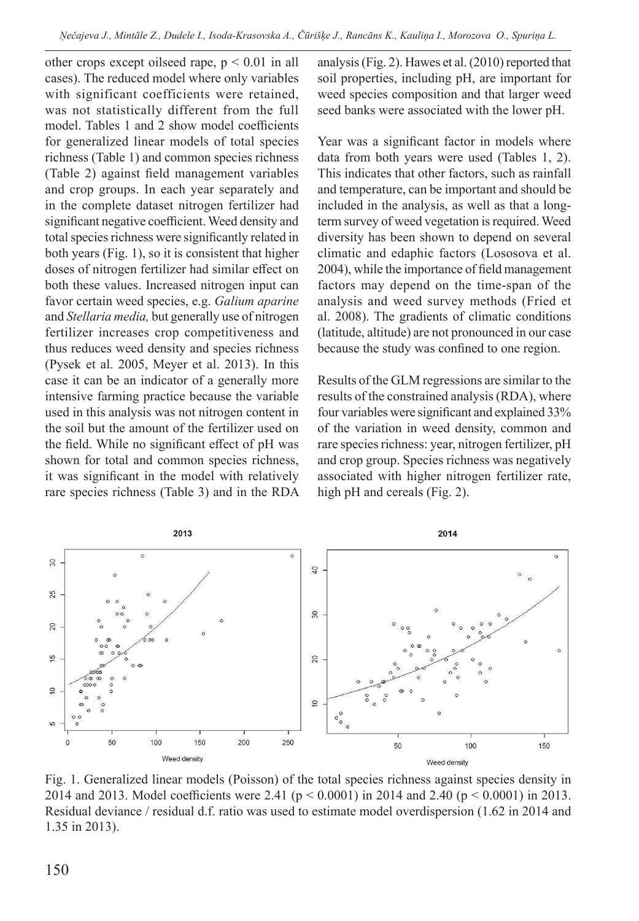other crops except oilseed rape,  $p < 0.01$  in all cases). The reduced model where only variables with significant coefficients were retained, was not statistically different from the full model. Tables 1 and 2 show model coefficients for generalized linear models of total species richness (Table 1) and common species richness (Table 2) against field management variables and crop groups. In each year separately and in the complete dataset nitrogen fertilizer had significant negative coefficient. Weed density and total species richness were significantly related in both years (Fig. 1), so it is consistent that higher doses of nitrogen fertilizer had similar effect on both these values. Increased nitrogen input can favor certain weed species, e.g. *Galium aparine* and *Stellaria media,* but generally use of nitrogen fertilizer increases crop competitiveness and thus reduces weed density and species richness (Pysek et al. 2005, Meyer et al. 2013). In this case it can be an indicator of a generally more intensive farming practice because the variable used in this analysis was not nitrogen content in the soil but the amount of the fertilizer used on the field. While no significant effect of pH was shown for total and common species richness, it was significant in the model with relatively rare species richness (Table 3) and in the RDA analysis (Fig. 2). Hawes et al. (2010) reported that soil properties, including pH, are important for weed species composition and that larger weed seed banks were associated with the lower pH.

Year was a significant factor in models where data from both years were used (Tables 1, 2). This indicates that other factors, such as rainfall and temperature, can be important and should be included in the analysis, as well as that a longterm survey of weed vegetation is required. Weed diversity has been shown to depend on several climatic and edaphic factors (Lososova et al. 2004), while the importance of field management factors may depend on the time-span of the analysis and weed survey methods (Fried et al. 2008). The gradients of climatic conditions (latitude, altitude) are not pronounced in our case because the study was confined to one region.

Results of the GLM regressions are similar to the results of the constrained analysis (RDA), where four variables were significant and explained 33% of the variation in weed density, common and rare species richness: year, nitrogen fertilizer, pH and crop group. Species richness was negatively associated with higher nitrogen fertilizer rate, high pH and cereals (Fig. 2).



Fig. 1. Generalized linear models (Poisson) of the total species richness against species density in 2014 and 2013. Model coefficients were 2.41 (p < 0.0001) in 2014 and 2.40 (p < 0.0001) in 2013. Residual deviance / residual d.f. ratio was used to estimate model overdispersion (1.62 in 2014 and 1.35 in 2013).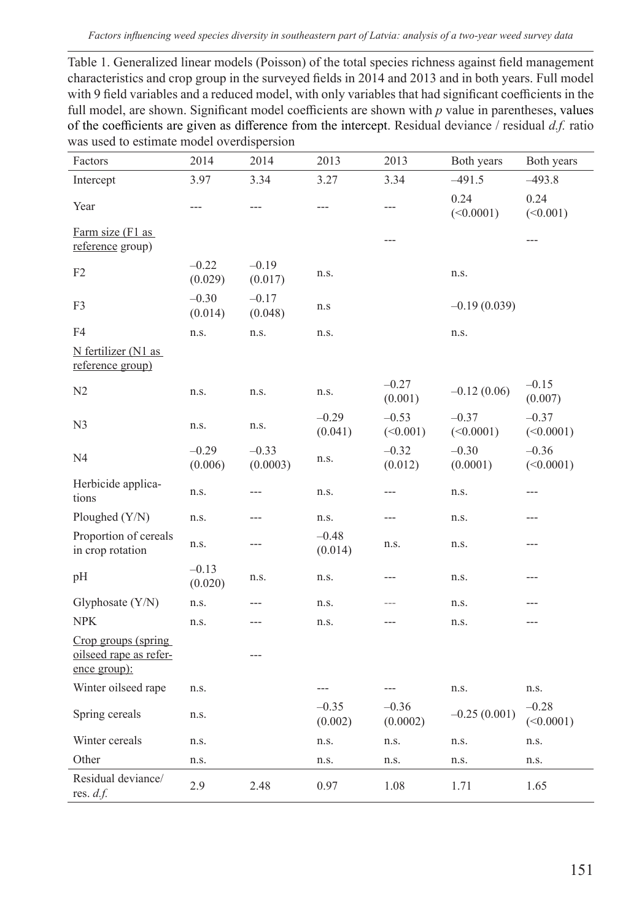Table 1. Generalized linear models (Poisson) of the total species richness against field management characteristics and crop group in the surveyed fields in 2014 and 2013 and in both years. Full model with 9 field variables and a reduced model, with only variables that had significant coefficients in the full model, are shown. Significant model coefficients are shown with *p* value in parentheses, values of the coefficients are given as difference from the intercept. Residual deviance / residual *d.f.* ratio was used to estimate model overdispersion

| Factors                                                       | 2014               | 2014                | 2013               | 2013                | Both years           | Both years           |
|---------------------------------------------------------------|--------------------|---------------------|--------------------|---------------------|----------------------|----------------------|
| Intercept                                                     | 3.97               | 3.34                | 3.27               | 3.34                | $-491.5$             | $-493.8$             |
| Year                                                          | ---                | ---                 | ---                | ---                 | 0.24<br>(<0.0001)    | 0.24<br>(<0.001)     |
| Farm size (F1 as<br>reference group)                          |                    |                     |                    | ---                 |                      | $---$                |
| F <sub>2</sub>                                                | $-0.22$<br>(0.029) | $-0.19$<br>(0.017)  | n.s.               |                     | n.s.                 |                      |
| F3                                                            | $-0.30$<br>(0.014) | $-0.17$<br>(0.048)  | n.s                |                     | $-0.19(0.039)$       |                      |
| F4                                                            | n.s.               | n.s.                | n.s.               |                     | n.s.                 |                      |
| N fertilizer (N1 as<br>reference group)                       |                    |                     |                    |                     |                      |                      |
| N2                                                            | n.s.               | n.s.                | n.s.               | $-0.27$<br>(0.001)  | $-0.12(0.06)$        | $-0.15$<br>(0.007)   |
| N <sub>3</sub>                                                | n.s.               | n.s.                | $-0.29$<br>(0.041) | $-0.53$<br>(<0.001) | $-0.37$<br>(<0.0001) | $-0.37$<br>(<0.0001) |
| N4                                                            | $-0.29$<br>(0.006) | $-0.33$<br>(0.0003) | n.s.               | $-0.32$<br>(0.012)  | $-0.30$<br>(0.0001)  | $-0.36$<br>(<0.0001) |
| Herbicide applica-<br>tions                                   | n.s.               | ---                 | n.s.               | ---                 | n.s.                 | ---                  |
| Ploughed (Y/N)                                                | n.s.               | ---                 | n.s.               | ---                 | n.s.                 | ---                  |
| Proportion of cereals<br>in crop rotation                     | n.s.               | ---                 | $-0.48$<br>(0.014) | n.s.                | n.s.                 | ---                  |
| pH                                                            | $-0.13$<br>(0.020) | n.s.                | n.s.               | ---                 | n.s.                 | ---                  |
| Glyphosate (Y/N)                                              | n.s.               | ---                 | n.s.               | $---$               | n.s.                 | ---                  |
| <b>NPK</b>                                                    | n.s.               | ---                 | n.s.               | ---                 | n.s.                 | ---                  |
| Crop groups (spring<br>oilseed rape as refer-<br>ence group): |                    | ---                 |                    |                     |                      |                      |
| Winter oilseed rape                                           | n.s.               |                     | $---$              | ---                 | n.s.                 | n.s.                 |
| Spring cereals                                                | n.s.               |                     | $-0.35$<br>(0.002) | $-0.36$<br>(0.0002) | $-0.25(0.001)$       | $-0.28$<br>(<0.0001) |
| Winter cereals                                                | n.s.               |                     | n.s.               | n.s.                | n.s.                 | n.s.                 |
| Other                                                         | n.s.               |                     | n.s.               | n.s.                | n.s.                 | n.s.                 |
| Residual deviance/<br>res. $d.f.$                             | 2.9                | 2.48                | 0.97               | 1.08                | 1.71                 | 1.65                 |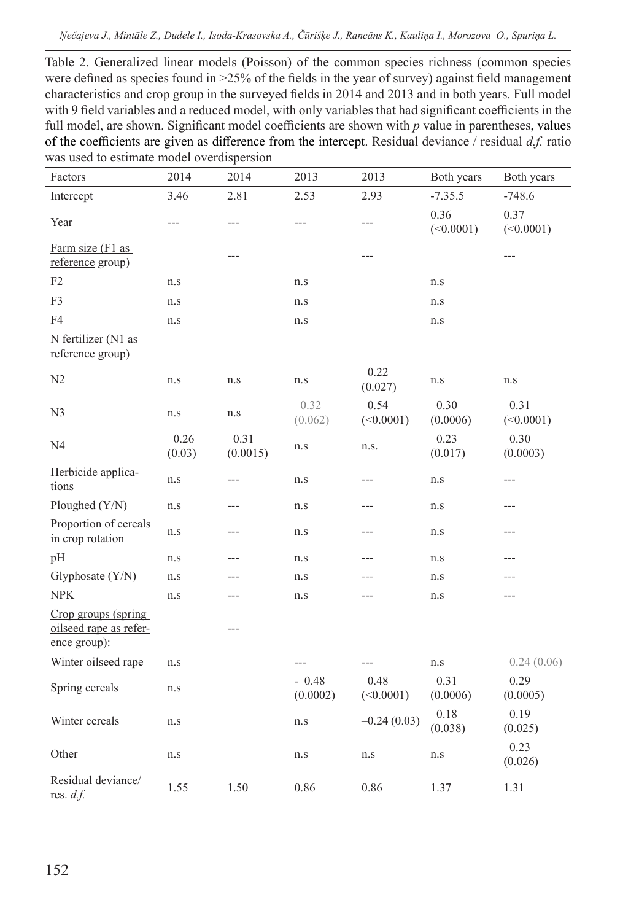*Ņečajeva J., Mintāle Z., Dudele I., Isoda-Krasovska A., Čūrišķe J., Rancāns K., Kauliņa I., Morozova O., Spuriņa L.*

Table 2. Generalized linear models (Poisson) of the common species richness (common species were defined as species found in >25% of the fields in the year of survey) against field management characteristics and crop group in the surveyed fields in 2014 and 2013 and in both years. Full model with 9 field variables and a reduced model, with only variables that had significant coefficients in the full model, are shown. Significant model coefficients are shown with *p* value in parentheses, values of the coefficients are given as difference from the intercept. Residual deviance / residual *d.f.* ratio was used to estimate model overdispersion

| Factors                                                       | 2014              | 2014                | 2013                | 2013                 | Both years          | Both years           |
|---------------------------------------------------------------|-------------------|---------------------|---------------------|----------------------|---------------------|----------------------|
| Intercept                                                     | 3.46              | 2.81                | 2.53                | 2.93                 | $-7.35.5$           | $-748.6$             |
| Year                                                          | ---               | ---                 | $---$               | ---                  | 0.36<br>(<0.0001)   | 0.37<br>(<0.0001)    |
| Farm size (F1 as<br>reference group)                          |                   | $---$               |                     | ---                  |                     | ---                  |
| F2                                                            | n.s               |                     | n.s                 |                      | n.s                 |                      |
| F3                                                            | n.s               |                     | n.s                 |                      | n.s                 |                      |
| F4                                                            | n.s               |                     | n.s                 |                      | n.s                 |                      |
| N fertilizer (N1 as<br>reference group)                       |                   |                     |                     |                      |                     |                      |
| N2                                                            | n.s               | n.s                 | n.s                 | $-0.22$<br>(0.027)   | n.s                 | n.s                  |
| N <sub>3</sub>                                                | n.s               | n.s                 | $-0.32$<br>(0.062)  | $-0.54$<br>(<0.0001) | $-0.30$<br>(0.0006) | $-0.31$<br>(<0.0001) |
| N4                                                            | $-0.26$<br>(0.03) | $-0.31$<br>(0.0015) | n.s                 | n.s.                 | $-0.23$<br>(0.017)  | $-0.30$<br>(0.0003)  |
| Herbicide applica-<br>tions                                   | n.s               | ---                 | n.s                 | ---                  | n.s                 | $---$                |
| Ploughed (Y/N)                                                | n.s               | ---                 | n.s                 | ---                  | n.s                 | ---                  |
| Proportion of cereals<br>in crop rotation                     | n.s               | $---$               | n.s                 | ---                  | n.s                 | ---                  |
| pH                                                            | n.s               | $---$               | n.s                 | ---                  | n.s                 | ---                  |
| Glyphosate (Y/N)                                              | n.s               | ---                 | n.s                 | ---                  | n.s                 | ---                  |
| <b>NPK</b>                                                    | n.s               | ---                 | n.s                 | ---                  | n.s                 | ---                  |
| Crop groups (spring<br>oilseed rape as refer-<br>ence group): |                   | ---                 |                     |                      |                     |                      |
| Winter oilseed rape                                           | n.s               |                     | $---$               | $---$                | n.s                 | $-0.24(0.06)$        |
| Spring cereals                                                | n.s               |                     | $-0.48$<br>(0.0002) | $-0.48$<br>(<0.0001) | $-0.31$<br>(0.0006) | $-0.29$<br>(0.0005)  |
| Winter cereals                                                | n.s               |                     | n.s                 | $-0.24(0.03)$        | $-0.18$<br>(0.038)  | $-0.19$<br>(0.025)   |
| Other                                                         | n.s               |                     | n.s                 | n.s                  | n.s                 | $-0.23$<br>(0.026)   |
| Residual deviance/<br>res. $d.f.$                             | 1.55              | 1.50                | 0.86                | 0.86                 | 1.37                | 1.31                 |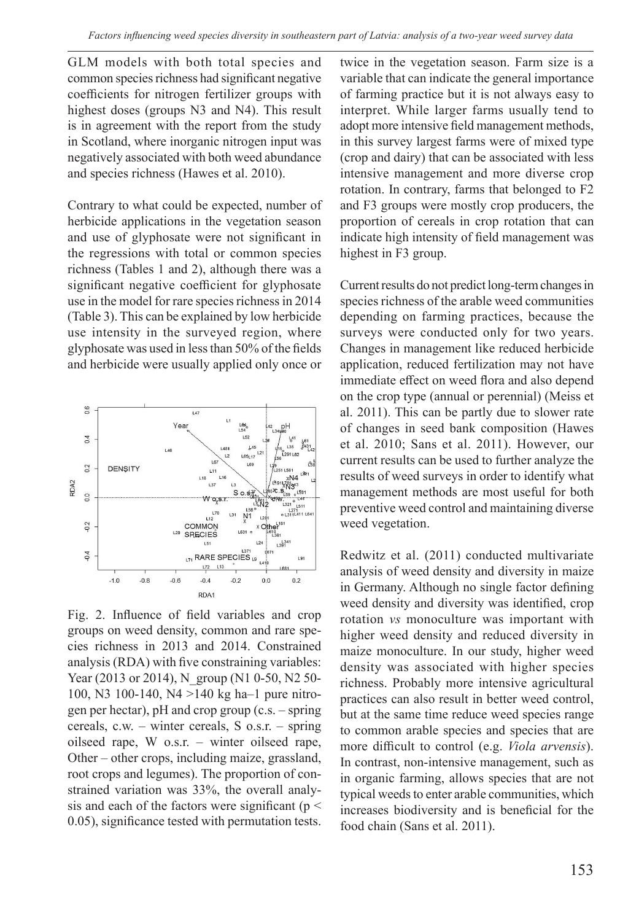GLM models with both total species and common species richness had significant negative coefficients for nitrogen fertilizer groups with highest doses (groups N3 and N4). This result is in agreement with the report from the study in Scotland, where inorganic nitrogen input was negatively associated with both weed abundance and species richness (Hawes et al. 2010).

Contrary to what could be expected, number of herbicide applications in the vegetation season and use of glyphosate were not significant in the regressions with total or common species richness (Tables 1 and 2), although there was a significant negative coefficient for glyphosate use in the model for rare species richness in 2014 (Table 3). This can be explained by low herbicide use intensity in the surveyed region, where glyphosate was used in less than 50% of the fields and herbicide were usually applied only once or



Fig. 2. Influence of field variables and crop groups on weed density, common and rare species richness in 2013 and 2014. Constrained analysis (RDA) with five constraining variables: Year (2013 or 2014), N\_group (N1 0-50, N2 50-100, N3 100-140, N4 >140 kg ha–1 pure nitrogen per hectar), pH and crop group (c.s. – spring cereals, c.w. – winter cereals, S o.s.r. – spring oilseed rape, W o.s.r. – winter oilseed rape, Other – other crops, including maize, grassland, root crops and legumes). The proportion of constrained variation was 33%, the overall analysis and each of the factors were significant ( $p <$ 0.05), significance tested with permutation tests.

twice in the vegetation season. Farm size is a variable that can indicate the general importance of farming practice but it is not always easy to interpret. While larger farms usually tend to adopt more intensive field management methods, in this survey largest farms were of mixed type (crop and dairy) that can be associated with less intensive management and more diverse crop rotation. In contrary, farms that belonged to F2 and F3 groups were mostly crop producers, the proportion of cereals in crop rotation that can indicate high intensity of field management was highest in F3 group.

Current results do not predict long-term changes in species richness of the arable weed communities depending on farming practices, because the surveys were conducted only for two years. Changes in management like reduced herbicide application, reduced fertilization may not have immediate effect on weed flora and also depend on the crop type (annual or perennial) (Meiss et al. 2011). This can be partly due to slower rate of changes in seed bank composition (Hawes et al. 2010; Sans et al. 2011). However, our current results can be used to further analyze the results of weed surveys in order to identify what management methods are most useful for both preventive weed control and maintaining diverse weed vegetation.

Redwitz et al. (2011) conducted multivariate analysis of weed density and diversity in maize in Germany. Although no single factor defining weed density and diversity was identified, crop rotation *vs* monoculture was important with higher weed density and reduced diversity in maize monoculture. In our study, higher weed density was associated with higher species richness. Probably more intensive agricultural practices can also result in better weed control, but at the same time reduce weed species range to common arable species and species that are more difficult to control (e.g. *Viola arvensis*). In contrast, non-intensive management, such as in organic farming, allows species that are not typical weeds to enter arable communities, which increases biodiversity and is beneficial for the food chain (Sans et al. 2011).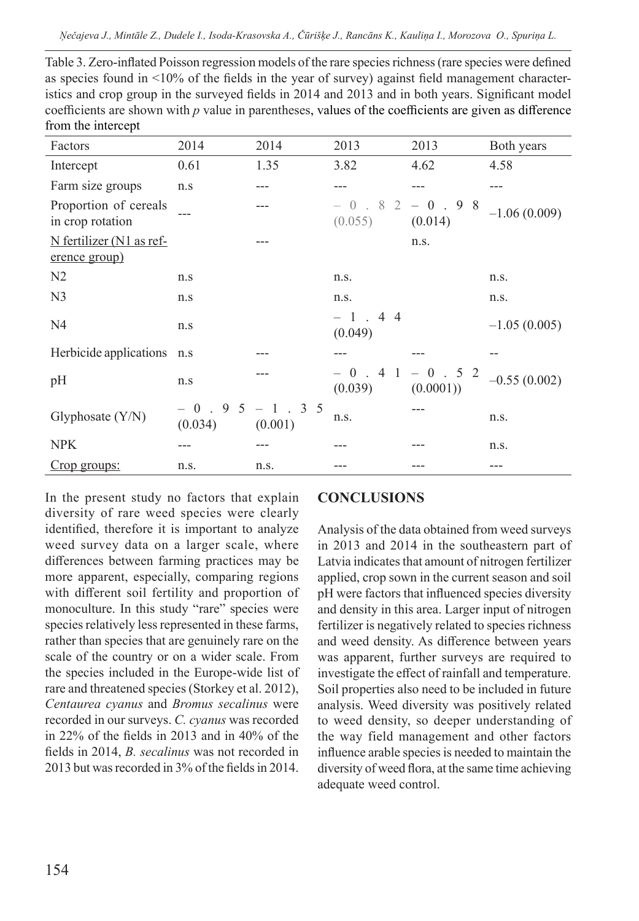| Table 3. Zero-inflated Poisson regression models of the rare species richness (rare species were defined |
|----------------------------------------------------------------------------------------------------------|
| as species found in $\leq 10\%$ of the fields in the year of survey) against field management character- |
| istics and crop group in the surveyed fields in 2014 and 2013 and in both years. Significant model       |
| coefficients are shown with $p$ value in parentheses, values of the coefficients are given as difference |
| from the intercept                                                                                       |

| Factors                                   | 2014                                  | 2014 | 2013                      | 2013                | Both years     |
|-------------------------------------------|---------------------------------------|------|---------------------------|---------------------|----------------|
| Intercept                                 | 0.61                                  | 1.35 | 3.82                      | 4.62                | 4.58           |
| Farm size groups                          | n.s                                   |      |                           |                     |                |
| Proportion of cereals<br>in crop rotation |                                       |      | $-0.82 - 0.98$<br>(0.055) | (0.014)             | $-1.06(0.009)$ |
| N fertilizer (N1 as ref-<br>erence group) |                                       |      |                           | n.s.                |                |
| N <sub>2</sub>                            | n.s                                   |      | n.s.                      |                     | n.s.           |
| N <sub>3</sub>                            | n.s                                   |      | n.s.                      |                     | n.s.           |
| N4                                        | n.s                                   |      | $-1$ . 4 4<br>(0.049)     |                     | $-1.05(0.005)$ |
| Herbicide applications n.s                |                                       |      |                           |                     |                |
| pH                                        | n.s                                   |      | $-0.41$<br>(0.039)        | $-0.52$<br>(0.0001) | $-0.55(0.002)$ |
| Glyphosate $(Y/N)$                        | $-0.95 - 1.35$<br>$(0.034)$ $(0.001)$ |      | n.s.                      |                     | n.s.           |
| <b>NPK</b>                                |                                       |      |                           |                     | n.s.           |
| Crop groups:                              | n.s.                                  | n.s. |                           |                     |                |

In the present study no factors that explain diversity of rare weed species were clearly identified, therefore it is important to analyze weed survey data on a larger scale, where differences between farming practices may be more apparent, especially, comparing regions with different soil fertility and proportion of monoculture. In this study "rare" species were species relatively less represented in these farms, rather than species that are genuinely rare on the scale of the country or on a wider scale. From the species included in the Europe-wide list of rare and threatened species (Storkey et al. 2012), *Centaurea cyanus* and *Bromus secalinus* were recorded in our surveys. *C. cyanus* was recorded in 22% of the fields in 2013 and in 40% of the fields in 2014, *B. secalinus* was not recorded in 2013 but was recorded in 3% of the fields in 2014.

# **CONCLUSIONS**

Analysis of the data obtained from weed surveys in 2013 and 2014 in the southeastern part of Latvia indicates that amount of nitrogen fertilizer applied, crop sown in the current season and soil pH were factors that influenced species diversity and density in this area. Larger input of nitrogen fertilizer is negatively related to species richness and weed density. As difference between years was apparent, further surveys are required to investigate the effect of rainfall and temperature. Soil properties also need to be included in future analysis. Weed diversity was positively related to weed density, so deeper understanding of the way field management and other factors influence arable species is needed to maintain the diversity of weed flora, at the same time achieving adequate weed control.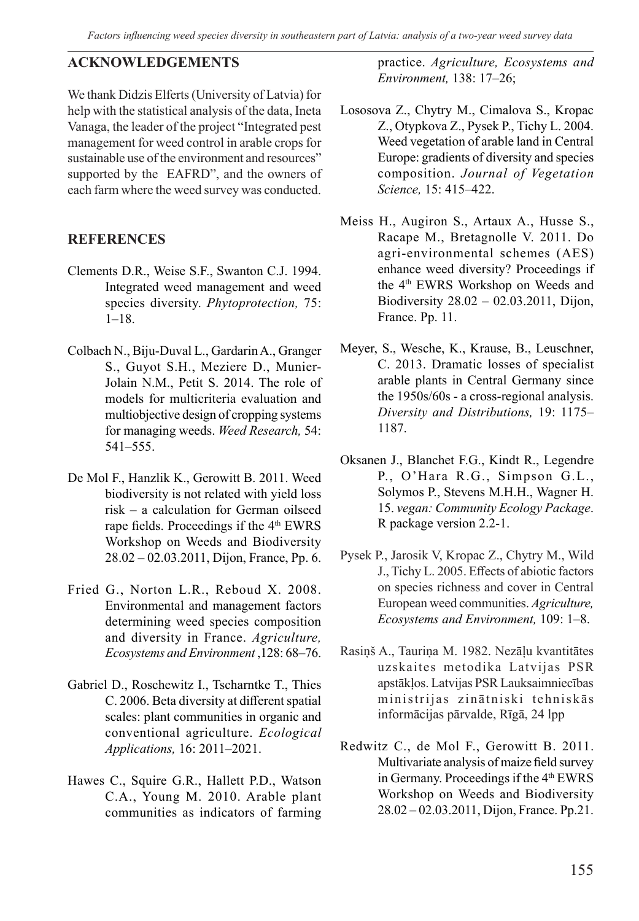*Factors influencing weed species diversity in southeastern part of Latvia: analysis of a two-year weed survey data*

# **ACKNOWLEDGEMENTS**

We thank Didzis Elferts (University of Latvia) for help with the statistical analysis of the data, Ineta Vanaga, the leader of the project "Integrated pest management for weed control in arable crops for sustainable use of the environment and resources" supported by the EAFRD", and the owners of each farm where the weed survey was conducted.

# **REFERENCES**

- Clements D.R., Weise S.F., Swanton C.J. 1994. Integrated weed management and weed species diversity. *Phytoprotection,* 75:  $1-18.$
- Colbach N., Biju-Duval L., Gardarin A., Granger S., Guyot S.H., Meziere D., Munier-Jolain N.M., Petit S. 2014. The role of models for multicriteria evaluation and multiobjective design of cropping systems for managing weeds. *Weed Research,* 54: 541–555.
- De Mol F., Hanzlik K., Gerowitt B. 2011. Weed biodiversity is not related with yield loss risk – a calculation for German oilseed rape fields. Proceedings if the 4<sup>th</sup> EWRS Workshop on Weeds and Biodiversity 28.02 – 02.03.2011, Dijon, France, Pp. 6.
- Fried G., Norton L.R., Reboud X. 2008. Environmental and management factors determining weed species composition and diversity in France. *Agriculture, Ecosystems and Environment* ,128: 68–76.
- Gabriel D., Roschewitz I., Tscharntke T., Thies C. 2006. Beta diversity at different spatial scales: plant communities in organic and conventional agriculture. *Ecological Applications,* 16: 2011–2021.
- Hawes C., Squire G.R., Hallett P.D., Watson C.A., Young M. 2010. Arable plant communities as indicators of farming

practice. *Agriculture, Ecosystems and Environment,* 138: 17–26;

- Lososova Z., Chytry M., Cimalova S., Kropac Z., Otypkova Z., Pysek P., Tichy L. 2004. Weed vegetation of arable land in Central Europe: gradients of diversity and species composition. *Journal of Vegetation Science,* 15: 415–422.
- Meiss H., Augiron S., Artaux A., Husse S., Racape M., Bretagnolle V. 2011. Do agri-environmental schemes (AES) enhance weed diversity? Proceedings if the 4<sup>th</sup> EWRS Workshop on Weeds and Biodiversity 28.02 – 02.03.2011, Dijon, France. Pp. 11.
- Meyer, S., Wesche, K., Krause, B., Leuschner, C. 2013. Dramatic losses of specialist arable plants in Central Germany since the 1950s/60s - a cross-regional analysis. *Diversity and Distributions,* 19: 1175– 1187.
- Oksanen J., Blanchet F.G., Kindt R., Legendre P., O'Hara R.G., Simpson G.L., Solymos P., Stevens M.H.H., Wagner H. 15. *vegan: Community Ecology Package*. R package version 2.2-1.
- Pysek P., Jarosik V, Kropac Z., Chytry M., Wild J., Tichy L. 2005. Effects of abiotic factors on species richness and cover in Central European weed communities. *Agriculture, Ecosystems and Environment,* 109: 1–8.
- Rasiņš A., Tauriņa M. 1982. Nezāļu kvantitātes uzskaites metodika Latvijas PSR apstākļos. Latvijas PSR Lauksaimniecības ministrijas zinātniski tehniskās informācijas pārvalde, Rīgā, 24 lpp
- Redwitz C., de Mol F., Gerowitt B. 2011. Multivariate analysis of maize field survey in Germany. Proceedings if the 4<sup>th</sup> EWRS Workshop on Weeds and Biodiversity 28.02 – 02.03.2011, Dijon, France. Pp.21.